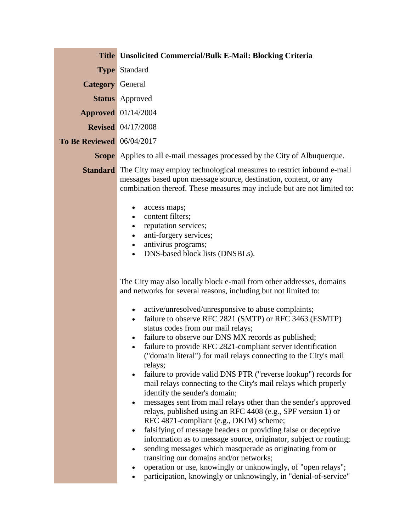|                                  | <b>Title Unsolicited Commercial/Bulk E-Mail: Blocking Criteria</b>                                                                                                                                                                                                                                                                                                                                                                                                                                                                                                                                                                                                                                                                                                                                                                                                                                                                                                                                                                                                                                                                                                                                                                                                                                                   |
|----------------------------------|----------------------------------------------------------------------------------------------------------------------------------------------------------------------------------------------------------------------------------------------------------------------------------------------------------------------------------------------------------------------------------------------------------------------------------------------------------------------------------------------------------------------------------------------------------------------------------------------------------------------------------------------------------------------------------------------------------------------------------------------------------------------------------------------------------------------------------------------------------------------------------------------------------------------------------------------------------------------------------------------------------------------------------------------------------------------------------------------------------------------------------------------------------------------------------------------------------------------------------------------------------------------------------------------------------------------|
|                                  | <b>Type Standard</b>                                                                                                                                                                                                                                                                                                                                                                                                                                                                                                                                                                                                                                                                                                                                                                                                                                                                                                                                                                                                                                                                                                                                                                                                                                                                                                 |
| <b>Category</b> General          |                                                                                                                                                                                                                                                                                                                                                                                                                                                                                                                                                                                                                                                                                                                                                                                                                                                                                                                                                                                                                                                                                                                                                                                                                                                                                                                      |
|                                  | <b>Status</b> Approved                                                                                                                                                                                                                                                                                                                                                                                                                                                                                                                                                                                                                                                                                                                                                                                                                                                                                                                                                                                                                                                                                                                                                                                                                                                                                               |
|                                  | <b>Approved</b> 01/14/2004                                                                                                                                                                                                                                                                                                                                                                                                                                                                                                                                                                                                                                                                                                                                                                                                                                                                                                                                                                                                                                                                                                                                                                                                                                                                                           |
|                                  | <b>Revised</b> 04/17/2008                                                                                                                                                                                                                                                                                                                                                                                                                                                                                                                                                                                                                                                                                                                                                                                                                                                                                                                                                                                                                                                                                                                                                                                                                                                                                            |
| <b>To Be Reviewed</b> 06/04/2017 |                                                                                                                                                                                                                                                                                                                                                                                                                                                                                                                                                                                                                                                                                                                                                                                                                                                                                                                                                                                                                                                                                                                                                                                                                                                                                                                      |
|                                  | <b>Scope</b> Applies to all e-mail messages processed by the City of Albuquerque.                                                                                                                                                                                                                                                                                                                                                                                                                                                                                                                                                                                                                                                                                                                                                                                                                                                                                                                                                                                                                                                                                                                                                                                                                                    |
|                                  | <b>Standard</b> The City may employ technological measures to restrict inbound e-mail<br>messages based upon message source, destination, content, or any<br>combination thereof. These measures may include but are not limited to:                                                                                                                                                                                                                                                                                                                                                                                                                                                                                                                                                                                                                                                                                                                                                                                                                                                                                                                                                                                                                                                                                 |
|                                  | access maps;<br>$\bullet$<br>content filters;<br>$\bullet$<br>reputation services;<br>$\bullet$<br>anti-forgery services;<br>$\bullet$<br>antivirus programs;<br>$\bullet$<br>DNS-based block lists (DNSBLs).<br>$\bullet$                                                                                                                                                                                                                                                                                                                                                                                                                                                                                                                                                                                                                                                                                                                                                                                                                                                                                                                                                                                                                                                                                           |
|                                  | The City may also locally block e-mail from other addresses, domains<br>and networks for several reasons, including but not limited to:<br>active/unresolved/unresponsive to abuse complaints;<br>$\bullet$<br>failure to observe RFC 2821 (SMTP) or RFC 3463 (ESMTP)<br>$\bullet$<br>status codes from our mail relays;<br>failure to observe our DNS MX records as published;<br>failure to provide RFC 2821-compliant server identification<br>٠<br>("domain literal") for mail relays connecting to the City's mail<br>relays;<br>failure to provide valid DNS PTR ("reverse lookup") records for<br>٠<br>mail relays connecting to the City's mail relays which properly<br>identify the sender's domain;<br>messages sent from mail relays other than the sender's approved<br>$\bullet$<br>relays, published using an RFC 4408 (e.g., SPF version 1) or<br>RFC 4871-compliant (e.g., DKIM) scheme;<br>falsifying of message headers or providing false or deceptive<br>$\bullet$<br>information as to message source, originator, subject or routing;<br>sending messages which masquerade as originating from or<br>$\bullet$<br>transiting our domains and/or networks;<br>operation or use, knowingly or unknowingly, of "open relays";<br>participation, knowingly or unknowingly, in "denial-of-service" |